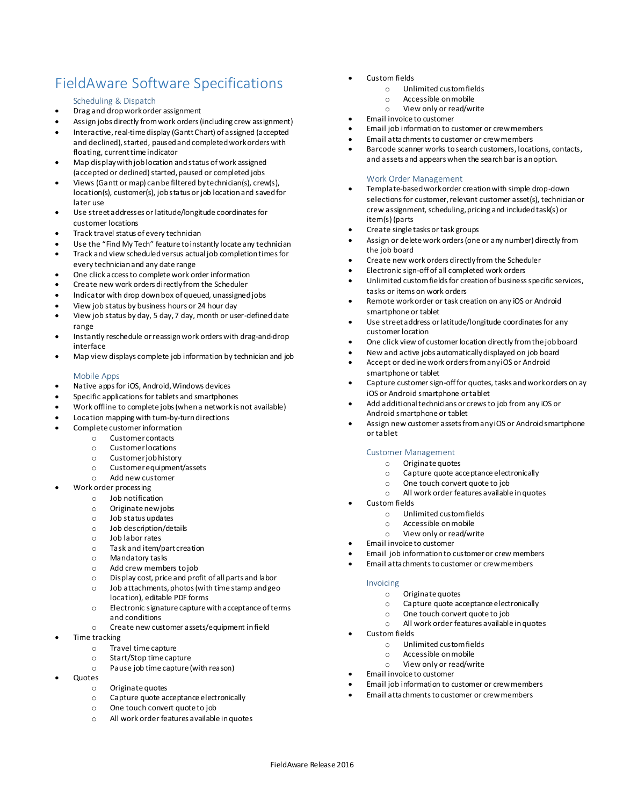# FieldAware Software Specifications

# Scheduling & Dispatch

- Drag and drop work order assignment
- Assign jobs directly from work orders (including crew assignment)
- Interactive, real-time display (Gantt Chart) of assigned (accepted and declined), started, paused and completed work orders with floating, current time indicator
- Map display with job location and status of work assigned (accepted or declined) started, paused or completed jobs
- Views (Gantt or map) can be filtered by technician(s), crew(s), location(s), customer(s), job status or job location and saved for later use
- Use street addresses or latitude/longitude coordinates for customer locations
- Track travel status of every technician
- Use the "Find My Tech" feature to instantly locate any technician
- Track and view scheduled versus actual job completion times for every technician and any date range
- One click access to complete work order information
- Create new work orders directly from the Scheduler
- Indicator with drop down box of queued, unassigned jobs
- View job status by business hours or 24 hour day
- View job status by day, 5 day, 7 day, month or user-defined date range
- Instantly reschedule or reassign work orders with drag-and-drop interface
- Map view displays complete job information by technician and job

#### Mobile Apps

- Native apps for iOS, Android, Windows devices
- Specific applications for tablets and smartphones
- Work offline to complete jobs (when a network is not available)
- Location mapping with turn-by-turn directions
- Complete customer information
	- o Customer contacts
	- o Customer locations
	- o Customer job history
	- o Customer equipment/assets
	- o Add new customer Work order processing
		- - o Job notification
			- o Originate new jobs
			- o Job status updates
			- o Job description/details o Job labor rates
			-
			- o Task and item/part creation
			- o Mandatory tasks
			- o Add crew members to job
			- o Display cost, price and profit of all parts and labor
			- o Job attachments, photos (with time stamp and geo location), editable PDF forms
			- o Electronic signature capture with acceptance of terms and conditions
			- o Create new customer assets/equipment in field
- Time tracking
	- o Travel time capture
	- o Start/Stop time capture
	- o Pause job time capture (with reason)
- Quotes
	- o Originate quotes
		- o Capture quote acceptance electronically
		- o One touch convert quote to job
		- o All work order features available in quotes
- Custom fields
	- o Unlimited custom fields
	- o Accessible on mobile
	- o View only or read/write
	- Email invoice to customer
- Email job information to customer or crew members
- Email attachments to customer or crew members
- Barcode scanner works to search customers, locations, contacts, and assets and appears when the search bar is an option.

#### Work Order Management

- Template-based work order creation with simple drop-down selections for customer, relevant customer asset(s), technician or crew assignment, scheduling, pricing and included task(s) or item(s) (parts
- Create single tasks or task groups
- Assign or delete work orders (one or any number) directly from the job board
- Create new work orders directly from the Scheduler
- Electronic sign-off of all completed work orders
- Unlimited custom fields for creation of business specific services, tasks or items on work orders
- Remote work order or task creation on any iOS or Android smartphone or tablet
- Use street address or latitude/longitude coordinates for any customer location
- One click view of customer location directly from the job board
- New and active jobs automatically displayed on job board
- Accept or decline work orders from any iOS or Android smartphone or tablet
- Capture customer sign-off for quotes, tasks and work orders on ay iOS or Android smartphone or tablet
- Add additional technicians or crews to job from any iOS or Android smartphone or tablet
- Assign new customer assets from any iOS or Android smartphone or tablet

### Customer Management

- o Originate quotes
- o Capture quote acceptance electronically
- o One touch convert quote to job
- o All work order features available in quotes
- Custom fields
	- o Unlimited custom fields
	- o Accessible on mobile
	- o View only or read/write
- Email invoice to customer
- Email job information to customer or crew members
- Email attachments to customer or crew members

#### Invoicing

- o Originate quotes
- o Capture quote acceptance electronically
- o One touch convert quote to job
- o All work order features available in quotes
- Custom fields
	- o Unlimited custom fields
	- o Accessible on mobile
	- o View only or read/write
- Email invoice to customer
- Email job information to customer or crew members
- Email attachments to customer or crew members